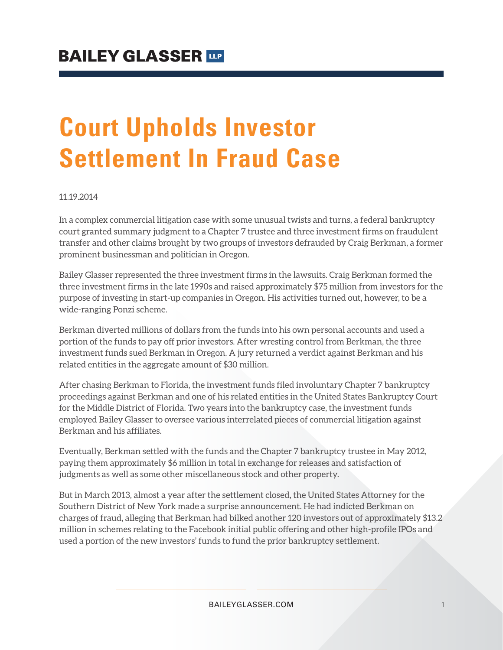# **Court Upholds Investor Settlement In Fraud Case**

#### 11.19.2014

In a complex commercial litigation case with some unusual twists and turns, a federal bankruptcy court granted summary judgment to a Chapter 7 trustee and three investment firms on fraudulent transfer and other claims brought by two groups of investors defrauded by Craig Berkman, a former prominent businessman and politician in Oregon.

Bailey Glasser represented the three investment firms in the lawsuits. Craig Berkman formed the three investment firms in the late 1990s and raised approximately \$75 million from investors for the purpose of investing in start-up companies in Oregon. His activities turned out, however, to be a wide-ranging Ponzi scheme.

Berkman diverted millions of dollars from the funds into his own personal accounts and used a portion of the funds to pay off prior investors. After wresting control from Berkman, the three investment funds sued Berkman in Oregon. A jury returned a verdict against Berkman and his related entities in the aggregate amount of \$30 million.

After chasing Berkman to Florida, the investment funds filed involuntary Chapter 7 bankruptcy proceedings against Berkman and one of his related entities in the United States Bankruptcy Court for the Middle District of Florida. Two years into the bankruptcy case, the investment funds employed Bailey Glasser to oversee various interrelated pieces of commercial litigation against Berkman and his affiliates.

Eventually, Berkman settled with the funds and the Chapter 7 bankruptcy trustee in May 2012, paying them approximately \$6 million in total in exchange for releases and satisfaction of judgments as well as some other miscellaneous stock and other property.

But in March 2013, almost a year after the settlement closed, the United States Attorney for the Southern District of New York made a surprise announcement. He had indicted Berkman on charges of fraud, alleging that Berkman had bilked another 120 investors out of approximately \$13.2 million in schemes relating to the Facebook initial public offering and other high-profile IPOs and used a portion of the new investors' funds to fund the prior bankruptcy settlement.